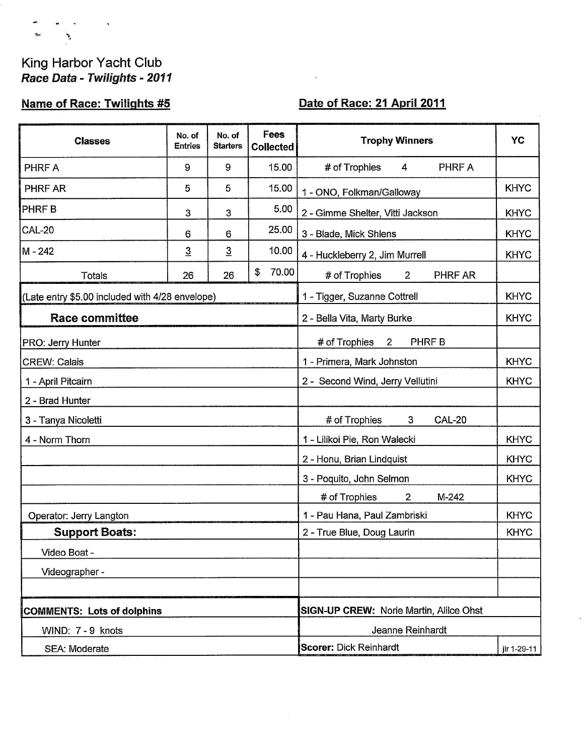## King Harbor Yacht Club<br>Race Data - Twilights - 2011

 $\mathcal{A}$ 

 $\sigma_{\rm{max}}$ 

 $\begin{array}{ccc}\n\mathbf{z}^{\prime} & \mathbf{z}^{\prime}\n\end{array}$ 

## **Name of Race: Twilights #5**

## Date of Race: 21 April 2011

 $\mathbf{r}$ 

| <b>Classes</b>                                  | No. of<br><b>Entries</b> | No. of<br><b>Starters</b> | Fees<br><b>Collected</b>                    |                             | <b>Trophy Winners</b>                          | YC          |  |
|-------------------------------------------------|--------------------------|---------------------------|---------------------------------------------|-----------------------------|------------------------------------------------|-------------|--|
| PHRF A                                          | 9                        | 9                         |                                             | 15.00                       | # of Trophies<br>PHRF A<br>4                   |             |  |
| PHRF AR                                         | 5                        | 5                         |                                             | 15.00                       | 1 - ONO, Folkman/Galloway                      | <b>KHYC</b> |  |
| <b>PHRFB</b>                                    | 3                        | 3                         |                                             | 5.00                        | 2 - Gimme Shelter, Vitti Jackson               | <b>KHYC</b> |  |
| <b>CAL-20</b>                                   | 6                        | 6                         |                                             | 25.00                       | 3 - Blade, Mick Shlens                         | <b>KHYC</b> |  |
| M - 242                                         | $\overline{3}$           | $\overline{3}$            |                                             | 10.00                       | 4 - Huckleberry 2, Jim Murrell                 | <b>KHYC</b> |  |
| <b>Totals</b>                                   | 26                       | 26                        | \$                                          | 70.00                       | PHRF AR<br># of Trophies<br>$2^{\circ}$        |             |  |
| (Late entry \$5.00 included with 4/28 envelope) |                          |                           |                                             |                             | <b>KHYC</b><br>1 - Tigger, Suzanne Cottrell    |             |  |
| <b>Race committee</b>                           |                          |                           |                                             | 2 - Bella Vita, Marty Burke |                                                |             |  |
| PRO: Jerry Hunter                               |                          |                           | PHRF B<br># of Trophies<br>$\overline{2}$   |                             |                                                |             |  |
| <b>CREW: Calais</b>                             |                          |                           | 1 - Primera, Mark Johnston                  | <b>KHYC</b>                 |                                                |             |  |
| 1 - April Pitcairn                              |                          |                           |                                             |                             | 2 - Second Wind, Jerry Vellutini               | <b>KHYC</b> |  |
| 2 - Brad Hunter                                 |                          |                           |                                             |                             |                                                |             |  |
| 3 - Tanya Nicoletti                             |                          |                           |                                             |                             | # of Trophies<br>3<br><b>CAL-20</b>            |             |  |
| 4 - Norm Thorn                                  |                          |                           |                                             |                             | 1 - Lilikoi Pie, Ron Walecki                   | <b>KHYC</b> |  |
|                                                 |                          |                           |                                             |                             | 2 - Honu, Brian Lindquist                      | <b>KHYC</b> |  |
|                                                 |                          |                           |                                             |                             | 3 - Poquito, John Selmon                       | <b>KHYC</b> |  |
|                                                 |                          |                           |                                             |                             | # of Trophies<br>M-242<br>2                    |             |  |
| Operator: Jerry Langton                         |                          |                           | <b>KHYC</b><br>1 - Pau Hana, Paul Zambriski |                             |                                                |             |  |
| <b>Support Boats:</b>                           |                          |                           | 2 - True Blue, Doug Laurin                  | <b>KHYC</b>                 |                                                |             |  |
| Video Boat -                                    |                          |                           |                                             |                             |                                                |             |  |
| Videographer -                                  |                          |                           |                                             |                             |                                                |             |  |
|                                                 |                          |                           |                                             |                             |                                                |             |  |
| <b>COMMENTS: Lots of dolphins</b>               |                          |                           |                                             |                             | <b>SIGN-UP CREW: Norie Martin, Alilce Ohst</b> |             |  |
| WIND: 7 - 9 knots                               |                          |                           |                                             |                             | Jeanne Reinhardt                               |             |  |
| SEA: Moderate                                   |                          |                           |                                             |                             | <b>Scorer: Dick Reinhardt</b><br>jlr 1-29-11   |             |  |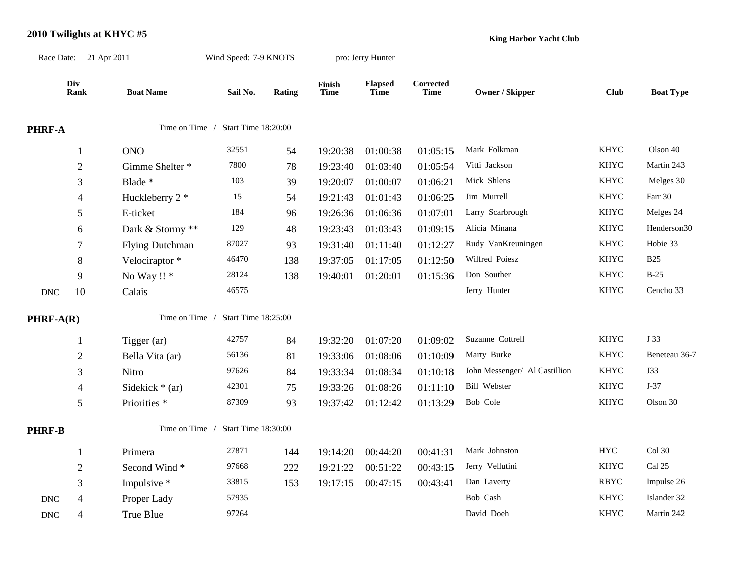| Race Date: 21 Apr 2011    |                | Wind Speed: 7-9 KNOTS   |                                    | pro: Jerry Hunter |                       |                               |                          |                               |             |                         |
|---------------------------|----------------|-------------------------|------------------------------------|-------------------|-----------------------|-------------------------------|--------------------------|-------------------------------|-------------|-------------------------|
|                           | Div<br>Rank    | <b>Boat Name</b>        | Sail No.                           | <b>Rating</b>     | Finish<br><b>Time</b> | <b>Elapsed</b><br><b>Time</b> | Corrected<br><b>Time</b> | Owner / Skipper               | Club        | <b>Boat Type</b>        |
| PHRF-A                    |                |                         | Time on Time / Start Time 18:20:00 |                   |                       |                               |                          |                               |             |                         |
|                           | 1              | <b>ONO</b>              | 32551                              | 54                | 19:20:38              | 01:00:38                      | 01:05:15                 | Mark Folkman                  | <b>KHYC</b> | Olson 40                |
|                           | $\overline{c}$ | Gimme Shelter *         | 7800                               | 78                | 19:23:40              | 01:03:40                      | 01:05:54                 | Vitti Jackson                 | <b>KHYC</b> | Martin 243              |
|                           | 3              | Blade *                 | 103                                | 39                | 19:20:07              | 01:00:07                      | 01:06:21                 | Mick Shlens                   | <b>KHYC</b> | Melges 30               |
|                           | 4              | Huckleberry 2 *         | 15                                 | 54                | 19:21:43              | 01:01:43                      | 01:06:25                 | Jim Murrell                   | <b>KHYC</b> | Farr 30                 |
|                           | 5              | E-ticket                | 184                                | 96                | 19:26:36              | 01:06:36                      | 01:07:01                 | Larry Scarbrough              | <b>KHYC</b> | Melges 24               |
|                           | 6              | Dark & Stormy **        | 129                                | 48                | 19:23:43              | 01:03:43                      | 01:09:15                 | Alicia Minana                 | <b>KHYC</b> | Henderson <sub>30</sub> |
|                           | 7              | <b>Flying Dutchman</b>  | 87027                              | 93                | 19:31:40              | 01:11:40                      | 01:12:27                 | Rudy VanKreuningen            | <b>KHYC</b> | Hobie 33                |
|                           | 8              | Velociraptor*           | 46470                              | 138               | 19:37:05              | 01:17:05                      | 01:12:50                 | Wilfred Poiesz                | <b>KHYC</b> | <b>B25</b>              |
|                           | 9              | No Way !! *             | 28124                              | 138               | 19:40:01              | 01:20:01                      | 01:15:36                 | Don Souther                   | <b>KHYC</b> | $B-25$                  |
| $\operatorname{DNC}$      | 10             | Calais                  | 46575                              |                   |                       |                               |                          | Jerry Hunter                  | <b>KHYC</b> | Cencho 33               |
| PHRF-A(R)                 |                | Time on Time /          | Start Time 18:25:00                |                   |                       |                               |                          |                               |             |                         |
|                           | 1              | Tigger (ar)             | 42757                              | 84                | 19:32:20              | 01:07:20                      | 01:09:02                 | Suzanne Cottrell              | <b>KHYC</b> | J 33                    |
|                           | $\overline{c}$ | Bella Vita (ar)         | 56136                              | 81                | 19:33:06              | 01:08:06                      | 01:10:09                 | Marty Burke                   | <b>KHYC</b> | Beneteau 36-7           |
|                           | 3              | Nitro                   | 97626                              | 84                | 19:33:34              | 01:08:34                      | 01:10:18                 | John Messenger/ Al Castillion | <b>KHYC</b> | J33                     |
|                           | 4              | Sidekick $*$ (ar)       | 42301                              | 75                | 19:33:26              | 01:08:26                      | 01:11:10                 | <b>Bill Webster</b>           | <b>KHYC</b> | $J-37$                  |
|                           | 5              | Priorities <sup>*</sup> | 87309                              | 93                | 19:37:42              | 01:12:42                      | 01:13:29                 | Bob Cole                      | <b>KHYC</b> | Olson 30                |
| <b>PHRF-B</b>             |                | Time on Time /          | Start Time 18:30:00                |                   |                       |                               |                          |                               |             |                         |
|                           | 1              | Primera                 | 27871                              | 144               | 19:14:20              | 00:44:20                      | 00:41:31                 | Mark Johnston                 | <b>HYC</b>  | Col 30                  |
|                           | $\overline{c}$ | Second Wind*            | 97668                              | 222               | 19:21:22              | 00:51:22                      | 00:43:15                 | Jerry Vellutini               | <b>KHYC</b> | Cal 25                  |
|                           | 3              | Impulsive *             | 33815                              | 153               | 19:17:15              | 00:47:15                      | 00:43:41                 | Dan Laverty                   | <b>RBYC</b> | Impulse 26              |
| <b>DNC</b>                | 4              | Proper Lady             | 57935                              |                   |                       |                               |                          | Bob Cash                      | <b>KHYC</b> | Islander 32             |
| $\ensuremath{\text{DNC}}$ | 4              | True Blue               | 97264                              |                   |                       |                               |                          | David Doeh                    | <b>KHYC</b> | Martin 242              |
|                           |                |                         |                                    |                   |                       |                               |                          |                               |             |                         |

## **2010 Twilights at KHYC #5**

**King Harbor Yacht Club**